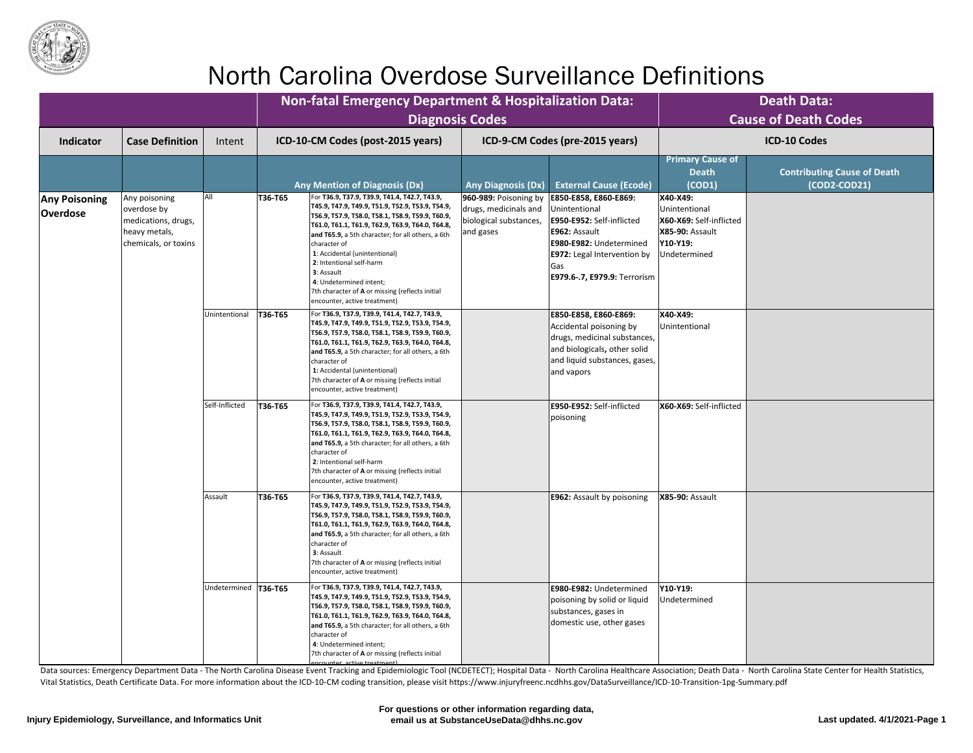Data sources: Emergency Department Data - The North Carolina Disease Event Tracking and Epidemiologic Tool (NCDETECT); Hospital Data - North Carolina Healthcare Association; Death Data - North Carolina State Center for Hea Vital Statistics, Death Certificate Data. For more information about the ICD-10-CM coding transition, please visit https://www.injuryfreenc.ncdhhs.gov/DataSurveillance/ICD-10-Transition-1pg-Summary.pdf

|                                         |                                                                                              |                        | <b>Non-fatal Emergency Department &amp; Hospitalization Data:</b><br><b>Diagnosis Codes</b>                                                                                                                                                                                                                                                                                                                                                                                        |                                                                                                                                                                                                                                                                                                                                                                                                                 |                                                                                                     | <b>Death Data:</b><br><b>Cause of Death Codes</b>    |
|-----------------------------------------|----------------------------------------------------------------------------------------------|------------------------|------------------------------------------------------------------------------------------------------------------------------------------------------------------------------------------------------------------------------------------------------------------------------------------------------------------------------------------------------------------------------------------------------------------------------------------------------------------------------------|-----------------------------------------------------------------------------------------------------------------------------------------------------------------------------------------------------------------------------------------------------------------------------------------------------------------------------------------------------------------------------------------------------------------|-----------------------------------------------------------------------------------------------------|------------------------------------------------------|
| <b>Indicator</b>                        | <b>Case Definition</b>                                                                       | Intent                 | ICD-10-CM Codes (post-2015 years)                                                                                                                                                                                                                                                                                                                                                                                                                                                  | ICD-9-CM Codes (pre-2015 years)                                                                                                                                                                                                                                                                                                                                                                                 |                                                                                                     | <b>ICD-10 Codes</b>                                  |
|                                         |                                                                                              |                        | <b>Any Mention of Diagnosis (Dx)</b>                                                                                                                                                                                                                                                                                                                                                                                                                                               | <b>External Cause (Ecode)</b><br><b>Any Diagnosis (Dx)</b>                                                                                                                                                                                                                                                                                                                                                      | <b>Primary Cause of</b><br><b>Death</b><br>(COD1)                                                   | <b>Contributing Cause of Death</b><br>$(COD2-COD21)$ |
| <b>Any Poisoning</b><br><b>Overdose</b> | Any poisoning<br>overdose by<br>medications, drugs,<br>heavy metals,<br>chemicals, or toxins | All                    | For T36.9, T37.9, T39.9, T41.4, T42.7, T43.9,<br>T36-T65<br>T45.9, T47.9, T49.9, T51.9, T52.9, T53.9, T54.9,<br>Т56.9, Т57.9, Т58.0, Т58.1, Т58.9, Т59.9, Т60.9,<br>Т61.0, Т61.1, Т61.9, Т62.9, Т63.9, Т64.0, Т64.8,<br>and T65.9, a 5th character; for all others, a 6th<br>character of<br>1: Accidental (unintentional)<br>2: Intentional self-harm<br>3: Assault<br>4: Undetermined intent;<br>7th character of A or missing (reflects initial<br>encounter, active treatment) | 960-989: Poisoning by<br>E850-E858, E860-E869:<br>drugs, medicinals and<br>Unintentional<br>biological substances,<br>E950-E952: Self-inflicted<br>E962: Assault<br>and gases<br>E980-E982: Undetermined<br><b>E972:</b> Legal Intervention by<br>Gas<br><b>E979.6-.7, E979.9:</b> Terrorism                                                                                                                    | X40-X49:<br>Unintentional<br>X60-X69: Self-inflicted<br>X85-90: Assault<br>Y10-Y19:<br>Undetermined |                                                      |
|                                         |                                                                                              | Unintentional          | For T36.9, T37.9, T39.9, T41.4, T42.7, T43.9,<br>T36-T65<br>Т45.9, Т47.9, Т49.9, Т51.9, Т52.9, Т53.9, Т54.9,<br>Т56.9, Т57.9, Т58.0, Т58.1, Т58.9, Т59.9, Т60.9,<br> Т61.0, Т61.1, Т61.9, Т62.9, Т63.9, Т64.0, Т64.8,<br>and T65.9, a 5th character; for all others, a 6th<br>character of<br>1: Accidental (unintentional)<br>7th character of A or missing (reflects initial<br>encounter, active treatment)                                                                     | E850-E858, E860-E869:<br>Accidental poisoning by<br>drugs, medicinal substances,<br>and biologicals, other solid<br>and liquid substances, gases,<br>and vapors                                                                                                                                                                                                                                                 | X40-X49:<br>Unintentional                                                                           |                                                      |
|                                         |                                                                                              |                        | Self-Inflicted                                                                                                                                                                                                                                                                                                                                                                                                                                                                     | <b>T36-T65</b><br>For T36.9, T37.9, T39.9, T41.4, T42.7, T43.9,<br>T45.9, T47.9, T49.9, T51.9, T52.9, T53.9, T54.9,<br>Т56.9, Т57.9, Т58.0, Т58.1, Т58.9, Т59.9, Т60.9,<br>Т61.0, Т61.1, Т61.9, Т62.9, Т63.9, Т64.0, Т64.8,<br>and T65.9, a 5th character; for all others, a 6th<br>character of<br>2: Intentional self-harm<br>7th character of A or missing (reflects initial<br>encounter, active treatment) | E950-E952: Self-inflicted<br>poisoning                                                              | X60-X69: Self-inflicted                              |
|                                         |                                                                                              | Assault                | T36-T65<br>For T36.9, T37.9, T39.9, T41.4, T42.7, T43.9,<br>T45.9, T47.9, T49.9, T51.9, T52.9, T53.9, T54.9,<br>Т56.9, Т57.9, Т58.0, Т58.1, Т58.9, Т59.9, Т60.9,<br>Т61.0, Т61.1, Т61.9, Т62.9, Т63.9, Т64.0, Т64.8,<br>and T65.9, a 5th character; for all others, a 6th<br>character of<br>3: Assault<br>7th character of A or missing (reflects initial<br>encounter, active treatment)                                                                                         | <b>E962: Assault by poisoning</b>                                                                                                                                                                                                                                                                                                                                                                               | <b>X85-90: Assault</b>                                                                              |                                                      |
|                                         |                                                                                              | Undetermined   T36-T65 | For T36.9, T37.9, T39.9, T41.4, T42.7, T43.9,<br>T45.9, T47.9, T49.9, T51.9, T52.9, T53.9, T54.9,<br>T56.9, T57.9, T58.0, T58.1, T58.9, T59.9, T60.9,<br> Т61.0, Т61.1, Т61.9, Т62.9, Т63.9, Т64.0, Т64.8,<br>and T65.9, a 5th character; for all others, a 6th<br>character of<br>4: Undetermined intent;<br>7th character of A or missing (reflects initial<br>encounter active treatment)                                                                                       | E980-E982: Undetermined<br>poisoning by solid or liquid<br>substances, gases in<br>domestic use, other gases                                                                                                                                                                                                                                                                                                    | Y10-Y19:<br>Undetermined                                                                            |                                                      |



# North Carolina Overdose Surveillance Definitions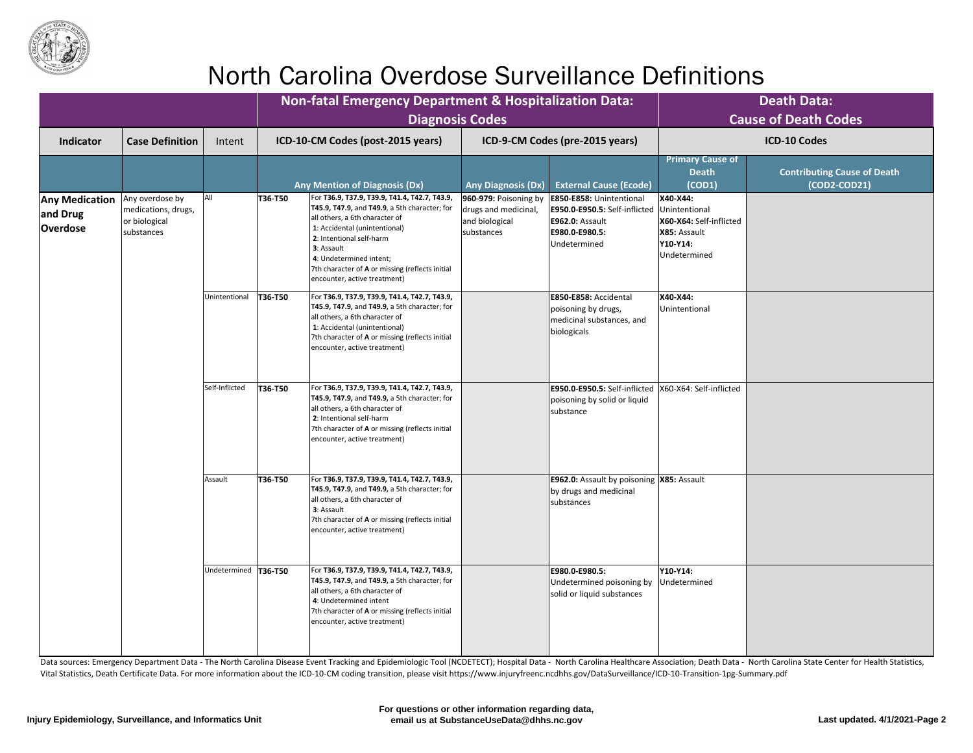

|                                                      |                                                                       |                        |                | <b>Non-fatal Emergency Department &amp; Hospitalization Data:</b><br><b>Diagnosis Codes</b>                                                                                                                                                                                                                                       |                                                                               |                                                                                                                                                                                                                                                        |                                                                                                         | <b>Death Data:</b><br><b>Cause of Death Codes</b>                                                   |
|------------------------------------------------------|-----------------------------------------------------------------------|------------------------|----------------|-----------------------------------------------------------------------------------------------------------------------------------------------------------------------------------------------------------------------------------------------------------------------------------------------------------------------------------|-------------------------------------------------------------------------------|--------------------------------------------------------------------------------------------------------------------------------------------------------------------------------------------------------------------------------------------------------|---------------------------------------------------------------------------------------------------------|-----------------------------------------------------------------------------------------------------|
| <b>Indicator</b>                                     | <b>Case Definition</b>                                                | Intent                 |                | ICD-10-CM Codes (post-2015 years)                                                                                                                                                                                                                                                                                                 |                                                                               | ICD-9-CM Codes (pre-2015 years)                                                                                                                                                                                                                        |                                                                                                         | <b>ICD-10 Codes</b>                                                                                 |
|                                                      |                                                                       |                        |                | <b>Any Mention of Diagnosis (Dx)</b>                                                                                                                                                                                                                                                                                              | <b>Any Diagnosis (Dx)</b>                                                     | <b>External Cause (Ecode)</b>                                                                                                                                                                                                                          | <b>Primary Cause of</b><br><b>Death</b><br>(COD1)                                                       | <b>Contributing Cause of Death</b><br>$(COD2-COD21)$                                                |
| <b>Any Medication</b><br>and Drug<br><b>Overdose</b> | Any overdose by<br>medications, drugs,<br>or biological<br>substances | All                    | T36-T50        | For T36.9, T37.9, T39.9, T41.4, T42.7, T43.9,<br><b>T45.9, T47.9, and T49.9</b> , a 5th character; for<br>all others, a 6th character of<br>1: Accidental (unintentional)<br>2: Intentional self-harm<br>3: Assault<br>4: Undetermined intent;<br>7th character of A or missing (reflects initial<br>encounter, active treatment) | 960-979: Poisoning by<br>drugs and medicinal,<br>and biological<br>substances | <b>E850-E858: Unintentional</b><br>E950.0-E950.5: Self-inflicted<br><b>E962.0: Assault</b><br>E980.0-E980.5:<br>Undetermined                                                                                                                           | X40-X44:<br>Unintentional<br>X60-X64: Self-inflicted<br>X85: Assault<br><b>Y10-Y14:</b><br>Undetermined |                                                                                                     |
|                                                      |                                                                       | Unintentional          | <b>T36-T50</b> | For T36.9, T37.9, T39.9, T41.4, T42.7, T43.9,<br><b>T45.9, T47.9, and T49.9, a 5th character; for</b><br>all others, a 6th character of<br>1: Accidental (unintentional)<br>7th character of A or missing (reflects initial<br>encounter, active treatment)                                                                       |                                                                               | <b>E850-E858: Accidental</b><br>poisoning by drugs,<br>medicinal substances, and<br>biologicals                                                                                                                                                        | X40-X44:<br>Unintentional                                                                               |                                                                                                     |
|                                                      |                                                                       |                        |                | Self-Inflicted                                                                                                                                                                                                                                                                                                                    | <b>T36-T50</b>                                                                | For T36.9, T37.9, T39.9, T41.4, T42.7, T43.9,<br><b>T45.9, T47.9, and T49.9, a 5th character; for</b><br>all others, a 6th character of<br>2: Intentional self-harm<br>7th character of A or missing (reflects initial<br>encounter, active treatment) |                                                                                                         | E950.0-E950.5: Self-inflicted  X60-X64: Self-inflicted<br>poisoning by solid or liquid<br>substance |
|                                                      |                                                                       | Assault                | T36-T50        | For T36.9, T37.9, T39.9, T41.4, T42.7, T43.9,<br><b>T45.9, T47.9, and T49.9, a 5th character; for</b><br>all others, a 6th character of<br>3: Assault<br>7th character of A or missing (reflects initial<br>encounter, active treatment)                                                                                          |                                                                               | <b>E962.0:</b> Assault by poisoning  X85: Assault<br>by drugs and medicinal<br>substances                                                                                                                                                              |                                                                                                         |                                                                                                     |
|                                                      |                                                                       | Undetermined   T36-T50 |                | For T36.9, T37.9, T39.9, T41.4, T42.7, T43.9,<br><b>T45.9, T47.9, and T49.9, a 5th character; for</b><br>all others, a 6th character of<br>4: Undetermined intent<br>7th character of A or missing (reflects initial<br>encounter, active treatment)                                                                              |                                                                               | E980.0-E980.5:<br>Undetermined poisoning by<br>solid or liquid substances                                                                                                                                                                              | Y10-Y14:<br>Undetermined                                                                                |                                                                                                     |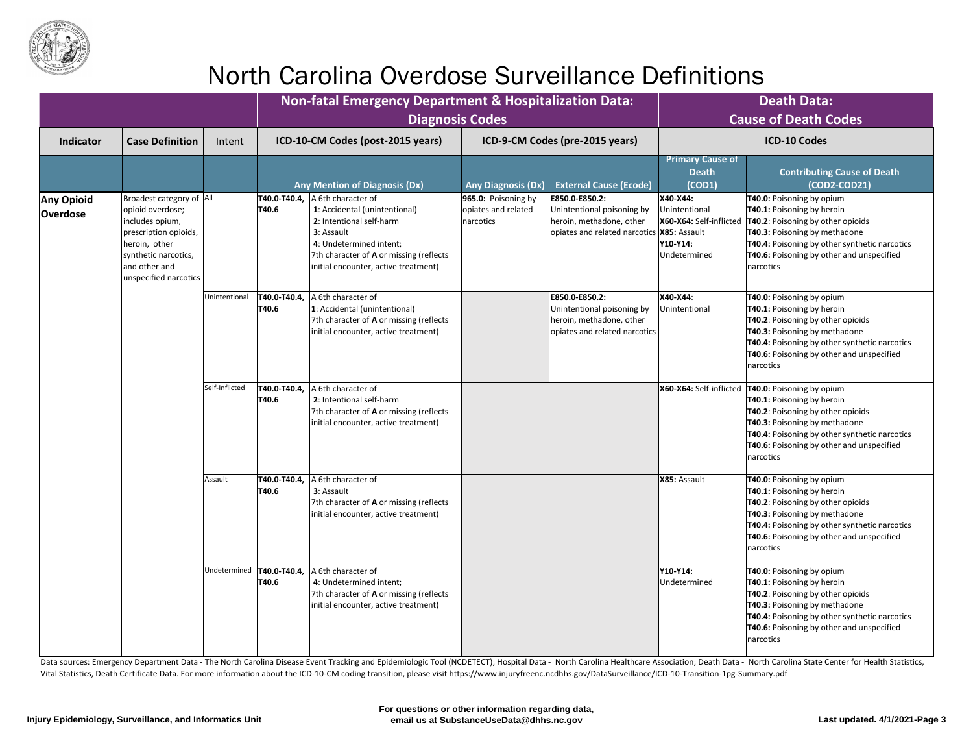

|                                      |                                                                                                                                                                              |               | <b>Non-fatal Emergency Department &amp; Hospitalization Data:</b>                                                                                                                                                                            | <b>Diagnosis Codes</b>                                                                                                                                     |                                                                                                                          | <b>Death Data:</b><br><b>Cause of Death Codes</b>                                |                                                                                                                                                                                                                                                               |                                                                                                                                                                                                                                                                                         |
|--------------------------------------|------------------------------------------------------------------------------------------------------------------------------------------------------------------------------|---------------|----------------------------------------------------------------------------------------------------------------------------------------------------------------------------------------------------------------------------------------------|------------------------------------------------------------------------------------------------------------------------------------------------------------|--------------------------------------------------------------------------------------------------------------------------|----------------------------------------------------------------------------------|---------------------------------------------------------------------------------------------------------------------------------------------------------------------------------------------------------------------------------------------------------------|-----------------------------------------------------------------------------------------------------------------------------------------------------------------------------------------------------------------------------------------------------------------------------------------|
| <b>Indicator</b>                     | <b>Case Definition</b>                                                                                                                                                       | Intent        | ICD-10-CM Codes (post-2015 years)                                                                                                                                                                                                            |                                                                                                                                                            | ICD-9-CM Codes (pre-2015 years)                                                                                          |                                                                                  | <b>ICD-10 Codes</b>                                                                                                                                                                                                                                           |                                                                                                                                                                                                                                                                                         |
|                                      |                                                                                                                                                                              |               | <b>Any Mention of Diagnosis (Dx)</b>                                                                                                                                                                                                         | <b>Any Diagnosis (Dx)</b>                                                                                                                                  | <b>External Cause (Ecode)</b>                                                                                            | <b>Primary Cause of</b><br><b>Death</b><br>(COD1)                                | <b>Contributing Cause of Death</b><br>(COD2-COD21)                                                                                                                                                                                                            |                                                                                                                                                                                                                                                                                         |
| <b>Any Opioid</b><br><b>Overdose</b> | Broadest category of  All<br>opioid overdose;<br>includes opium,<br>prescription opioids,<br>heroin, other<br>synthetic narcotics,<br>and other and<br>unspecified narcotics |               | T40.0-T40.4,<br>A 6th character of<br>1: Accidental (unintentional)<br>T40.6<br>2: Intentional self-harm<br><b>3</b> : Assault<br>4: Undetermined intent;<br>7th character of A or missing (reflects<br>initial encounter, active treatment) | 965.0: Poisoning by<br>opiates and related<br>narcotics                                                                                                    | E850.0-E850.2:<br>Unintentional poisoning by<br>heroin, methadone, other<br>opiates and related narcotics   X85: Assault | X40-X44:<br>Unintentional<br>X60-X64: Self-inflicted<br>Y10-Y14:<br>Undetermined | T40.0: Poisoning by opium<br>T40.1: Poisoning by heroin<br><b>T40.2: Poisoning by other opioids</b><br>T40.3: Poisoning by methadone<br>T40.4: Poisoning by other synthetic narcotics<br><b>T40.6:</b> Poisoning by other and unspecified<br><b>narcotics</b> |                                                                                                                                                                                                                                                                                         |
|                                      |                                                                                                                                                                              | Unintentional | A 6th character of<br>T40.0-T40.4,<br>T40.6<br>1: Accidental (unintentional)<br>7th character of A or missing (reflects<br>initial encounter, active treatment)                                                                              |                                                                                                                                                            | E850.0-E850.2:<br>Unintentional poisoning by<br>heroin, methadone, other<br>opiates and related narcotics                | X40-X44:<br>Unintentional                                                        | T40.0: Poisoning by opium<br>T40.1: Poisoning by heroin<br>T40.2: Poisoning by other opioids<br>T40.3: Poisoning by methadone<br><b>T40.4:</b> Poisoning by other synthetic narcotics<br><b>T40.6:</b> Poisoning by other and unspecified<br>narcotics        |                                                                                                                                                                                                                                                                                         |
|                                      |                                                                                                                                                                              |               | Self-Inflicted                                                                                                                                                                                                                               | T40.0-T40.4,<br>A 6th character of<br>T40.6<br>2: Intentional self-harm<br>7th character of A or missing (reflects<br>initial encounter, active treatment) |                                                                                                                          |                                                                                  |                                                                                                                                                                                                                                                               | X60-X64: Self-inflicted   T40.0: Poisoning by opium<br><b>T40.1: Poisoning by heroin</b><br>T40.2: Poisoning by other opioids<br><b>T40.3: Poisoning by methadone</b><br>T40.4: Poisoning by other synthetic narcotics<br><b>T40.6:</b> Poisoning by other and unspecified<br>narcotics |
|                                      |                                                                                                                                                                              | Assault       | T40.0-T40.4,<br>A 6th character of<br>T40.6<br><b>3</b> : Assault<br>7th character of A or missing (reflects<br>initial encounter, active treatment)                                                                                         |                                                                                                                                                            |                                                                                                                          | X85: Assault                                                                     | T40.0: Poisoning by opium<br>T40.1: Poisoning by heroin<br>T40.2: Poisoning by other opioids<br>T40.3: Poisoning by methadone<br>T40.4: Poisoning by other synthetic narcotics<br><b>T40.6:</b> Poisoning by other and unspecified<br>Inarcotics              |                                                                                                                                                                                                                                                                                         |
|                                      |                                                                                                                                                                              |               | Jndetermined   T40.0-T40.4,<br>A 6th character of<br>T40.6<br>4: Undetermined intent;<br>7th character of <b>A</b> or missing (reflects<br>initial encounter, active treatment)                                                              |                                                                                                                                                            |                                                                                                                          | <b>Y10-Y14:</b><br>Undetermined                                                  | T40.0: Poisoning by opium<br><b>T40.1: Poisoning by heroin</b><br>T40.2: Poisoning by other opioids<br>T40.3: Poisoning by methadone<br><b>T40.4:</b> Poisoning by other synthetic narcotics<br><b>T40.6:</b> Poisoning by other and unspecified<br>narcotics |                                                                                                                                                                                                                                                                                         |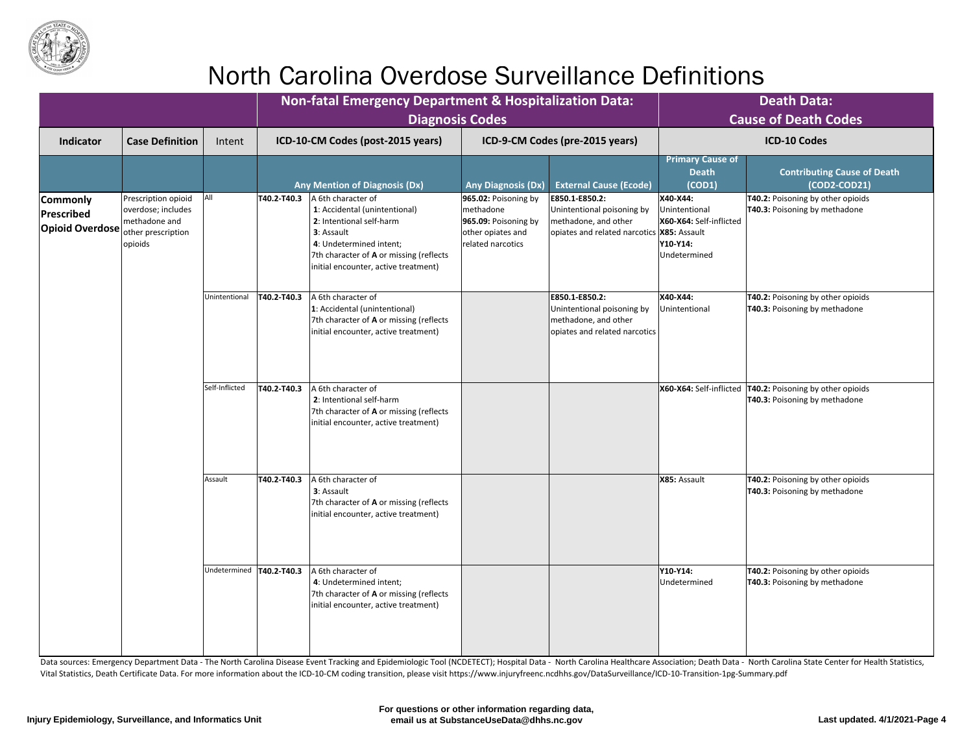

|                                                         |                                                                                             |                            |             | <b>Non-fatal Emergency Department &amp; Hospitalization Data:</b><br><b>Diagnosis Codes</b>                                                                                                                         |                                                                                                        |                                                                                                                      |                                                                                  | <b>Death Data:</b><br><b>Cause of Death Codes</b>                                                   |
|---------------------------------------------------------|---------------------------------------------------------------------------------------------|----------------------------|-------------|---------------------------------------------------------------------------------------------------------------------------------------------------------------------------------------------------------------------|--------------------------------------------------------------------------------------------------------|----------------------------------------------------------------------------------------------------------------------|----------------------------------------------------------------------------------|-----------------------------------------------------------------------------------------------------|
| <b>Indicator</b>                                        | <b>Case Definition</b>                                                                      | Intent                     |             | ICD-10-CM Codes (post-2015 years)                                                                                                                                                                                   |                                                                                                        | ICD-9-CM Codes (pre-2015 years)                                                                                      |                                                                                  | <b>ICD-10 Codes</b>                                                                                 |
|                                                         |                                                                                             |                            |             | <b>Any Mention of Diagnosis (Dx)</b>                                                                                                                                                                                | <b>Any Diagnosis (Dx)</b>                                                                              | <b>External Cause (Ecode)</b>                                                                                        | <b>Primary Cause of</b><br><b>Death</b><br>(COD1)                                | <b>Contributing Cause of Death</b><br>$(COD2-COD21)$                                                |
| <b>Commonly</b><br>Prescribed<br><b>Opioid Overdose</b> | Prescription opioid<br>overdose; includes<br>methadone and<br>other prescription<br>opioids | All                        | T40.2-T40.3 | A 6th character of<br>1: Accidental (unintentional)<br>2: Intentional self-harm<br><b>3</b> : Assault<br>4: Undetermined intent;<br>7th character of A or missing (reflects<br>initial encounter, active treatment) | $965.02$ : Poisoning by<br>methadone<br>965.09: Poisoning by<br>other opiates and<br>related narcotics | E850.1-E850.2:<br>Unintentional poisoning by<br>methadone, and other<br>opiates and related narcotics   X85: Assault | X40-X44:<br>Unintentional<br>X60-X64: Self-inflicted<br>Y10-Y14:<br>Undetermined | T40.2: Poisoning by other opioids<br><b>T40.3: Poisoning by methadone</b>                           |
|                                                         |                                                                                             | Unintentional              | T40.2-T40.3 | A 6th character of<br>1: Accidental (unintentional)<br>7th character of A or missing (reflects<br>initial encounter, active treatment)                                                                              |                                                                                                        | E850.1-E850.2:<br>Unintentional poisoning by<br>methadone, and other<br>opiates and related narcotics                | X40-X44:<br>Unintentional                                                        | <b>T40.2: Poisoning by other opioids</b><br><b>T40.3: Poisoning by methadone</b>                    |
|                                                         |                                                                                             | Self-Inflicted             | T40.2-T40.3 | A 6th character of<br>2: Intentional self-harm<br>7th character of A or missing (reflects<br>initial encounter, active treatment)                                                                                   |                                                                                                        |                                                                                                                      |                                                                                  | X60-X64: Self-inflicted   T40.2: Poisoning by other opioids<br><b>T40.3: Poisoning by methadone</b> |
|                                                         |                                                                                             | Assault                    | T40.2-T40.3 | A 6th character of<br><b>3</b> : Assault<br>7th character of A or missing (reflects<br>initial encounter, active treatment)                                                                                         |                                                                                                        |                                                                                                                      | X85: Assault                                                                     | T40.2: Poisoning by other opioids<br><b>T40.3: Poisoning by methadone</b>                           |
|                                                         |                                                                                             | Undetermined   T40.2-T40.3 |             | A 6th character of<br>4: Undetermined intent;<br>7th character of <b>A</b> or missing (reflects<br>initial encounter, active treatment)                                                                             |                                                                                                        |                                                                                                                      | Y10-Y14:<br>Undetermined                                                         | <b>T40.2: Poisoning by other opioids</b><br><b>T40.3: Poisoning by methadone</b>                    |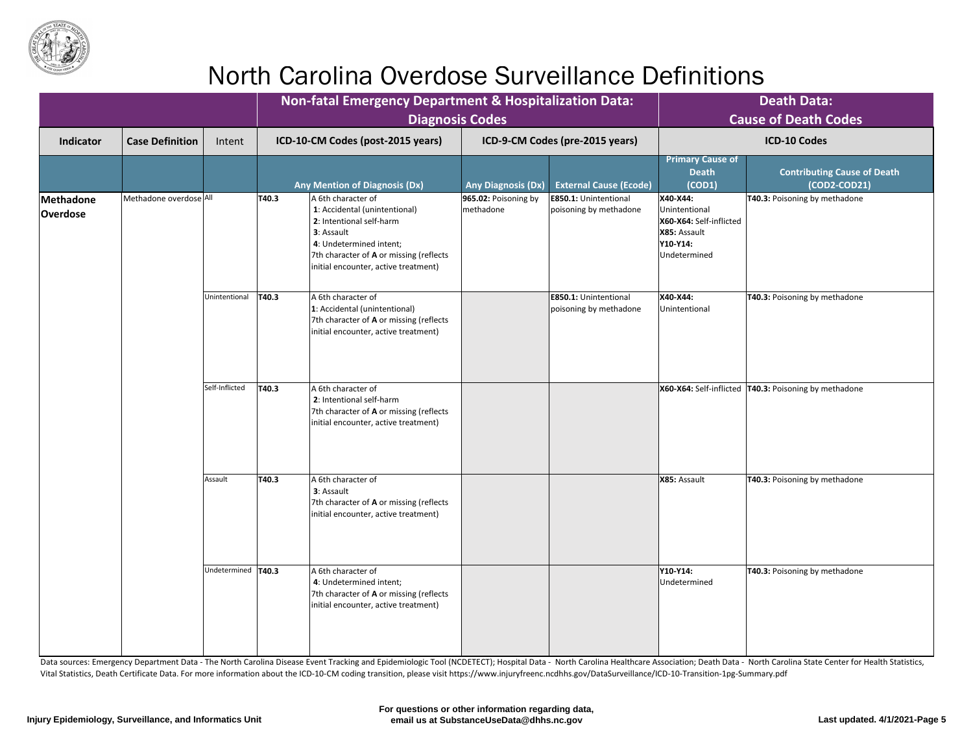

|                              |                        |                      |                | <b>Non-fatal Emergency Department &amp; Hospitalization Data:</b><br><b>Diagnosis Codes</b>                                                                                                                 |                                                                                                                                   |                                                        |                                                                                                  | <b>Death Data:</b><br><b>Cause of Death Codes</b>    |
|------------------------------|------------------------|----------------------|----------------|-------------------------------------------------------------------------------------------------------------------------------------------------------------------------------------------------------------|-----------------------------------------------------------------------------------------------------------------------------------|--------------------------------------------------------|--------------------------------------------------------------------------------------------------|------------------------------------------------------|
| <b>Indicator</b>             | <b>Case Definition</b> | Intent               |                | ICD-10-CM Codes (post-2015 years)                                                                                                                                                                           |                                                                                                                                   | ICD-9-CM Codes (pre-2015 years)                        |                                                                                                  | <b>ICD-10 Codes</b>                                  |
|                              |                        |                      |                | <b>Any Mention of Diagnosis (Dx)</b>                                                                                                                                                                        | <b>Any Diagnosis (Dx)</b>                                                                                                         | <b>External Cause (Ecode)</b>                          | <b>Primary Cause of</b><br><b>Death</b><br>(COD1)                                                | <b>Contributing Cause of Death</b><br>$(COD2-COD21)$ |
| Methadone<br><b>Overdose</b> | Methadone overdose All |                      | T40.3          | A 6th character of<br>1: Accidental (unintentional)<br>2: Intentional self-harm<br>3: Assault<br>4: Undetermined intent;<br>7th character of A or missing (reflects<br>initial encounter, active treatment) | 965.02: Poisoning by<br>methadone                                                                                                 | <b>E850.1: Unintentional</b><br>poisoning by methadone | X40-X44:<br>Unintentional<br>X60-X64: Self-inflicted<br>X85: Assault<br>Y10-Y14:<br>Undetermined | T40.3: Poisoning by methadone                        |
|                              |                        | Unintentional        | $\vert$ T40.3  | A 6th character of<br>1: Accidental (unintentional)<br>7th character of A or missing (reflects<br>initial encounter, active treatment)                                                                      |                                                                                                                                   | <b>E850.1: Unintentional</b><br>poisoning by methadone | X40-X44:<br>Unintentional                                                                        | T40.3: Poisoning by methadone                        |
|                              |                        |                      | Self-Inflicted | T40.3                                                                                                                                                                                                       | A 6th character of<br>2: Intentional self-harm<br>7th character of A or missing (reflects<br>initial encounter, active treatment) |                                                        |                                                                                                  |                                                      |
|                              |                        | Assault              | T40.3          | A 6th character of<br>3: Assault<br>7th character of A or missing (reflects<br>initial encounter, active treatment)                                                                                         |                                                                                                                                   |                                                        | X85: Assault                                                                                     | <b>T40.3: Poisoning by methadone</b>                 |
|                              |                        | Undetermined   T40.3 |                | A 6th character of<br>4: Undetermined intent;<br>7th character of <b>A</b> or missing (reflects<br>initial encounter, active treatment)                                                                     |                                                                                                                                   |                                                        | Y10-Y14:<br>Undetermined                                                                         | T40.3: Poisoning by methadone                        |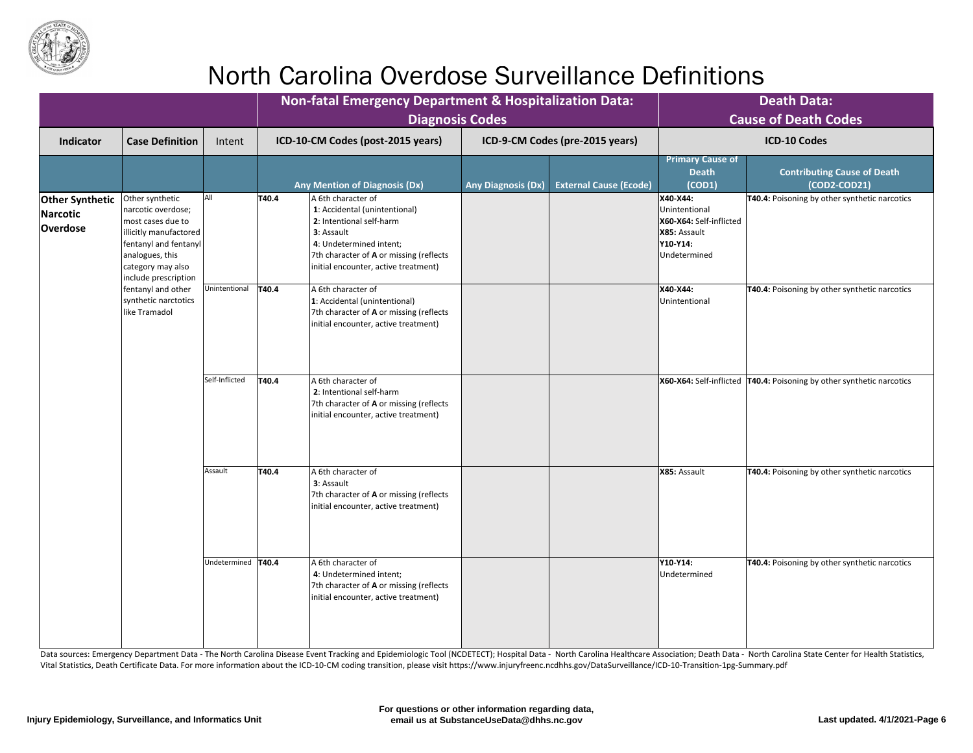

|                                                       |                                                                                                                                                                                 |                      |       | <b>Non-fatal Emergency Department &amp; Hospitalization Data:</b><br><b>Diagnosis Codes</b>                                                                                                                 |                           |                                 |                                                                                                  | <b>Death Data:</b><br><b>Cause of Death Codes</b>                       |
|-------------------------------------------------------|---------------------------------------------------------------------------------------------------------------------------------------------------------------------------------|----------------------|-------|-------------------------------------------------------------------------------------------------------------------------------------------------------------------------------------------------------------|---------------------------|---------------------------------|--------------------------------------------------------------------------------------------------|-------------------------------------------------------------------------|
| <b>Indicator</b>                                      | <b>Case Definition</b>                                                                                                                                                          | Intent               |       | ICD-10-CM Codes (post-2015 years)                                                                                                                                                                           |                           | ICD-9-CM Codes (pre-2015 years) |                                                                                                  | <b>ICD-10 Codes</b>                                                     |
|                                                       |                                                                                                                                                                                 |                      |       | <b>Any Mention of Diagnosis (Dx)</b>                                                                                                                                                                        | <b>Any Diagnosis (Dx)</b> | <b>External Cause (Ecode)</b>   | <b>Primary Cause of</b><br><b>Death</b><br>(COD1)                                                | <b>Contributing Cause of Death</b><br>$(COD2-COD21)$                    |
| <b>Other Synthetic</b><br>Narcotic<br><b>Overdose</b> | Other synthetic<br>narcotic overdose;<br>most cases due to<br>illicitly manufactored  <br>fentanyl and fentanyl<br>analogues, this<br>category may also<br>include prescription | All                  | T40.4 | A 6th character of<br>1: Accidental (unintentional)<br>2: Intentional self-harm<br>3: Assault<br>4: Undetermined intent;<br>7th character of A or missing (reflects<br>initial encounter, active treatment) |                           |                                 | X40-X44:<br>Unintentional<br>X60-X64: Self-inflicted<br>X85: Assault<br>Y10-Y14:<br>Undetermined | T40.4: Poisoning by other synthetic narcotics                           |
|                                                       | fentanyl and other<br>synthetic narctotics<br>like Tramadol                                                                                                                     | Unintentional        | T40.4 | A 6th character of<br>1: Accidental (unintentional)<br>7th character of A or missing (reflects<br>initial encounter, active treatment)                                                                      |                           |                                 | X40-X44:<br>Unintentional                                                                        | <b>T40.4: Poisoning by other synthetic narcotics</b>                    |
|                                                       |                                                                                                                                                                                 | Self-Inflicted       | T40.4 | A 6th character of<br>2: Intentional self-harm<br>7th character of A or missing (reflects<br>initial encounter, active treatment)                                                                           |                           |                                 |                                                                                                  | X60-X64: Self-inflicted   T40.4: Poisoning by other synthetic narcotics |
|                                                       |                                                                                                                                                                                 | Assault              | T40.4 | A 6th character of<br>3: Assault<br>7th character of A or missing (reflects<br>initial encounter, active treatment)                                                                                         |                           |                                 | X85: Assault                                                                                     | <b>T40.4: Poisoning by other synthetic narcotics</b>                    |
|                                                       |                                                                                                                                                                                 | Undetermined   T40.4 |       | A 6th character of<br>4: Undetermined intent;<br>7th character of A or missing (reflects<br>initial encounter, active treatment)                                                                            |                           |                                 | Y10-Y14:<br>Undetermined                                                                         | T40.4: Poisoning by other synthetic narcotics                           |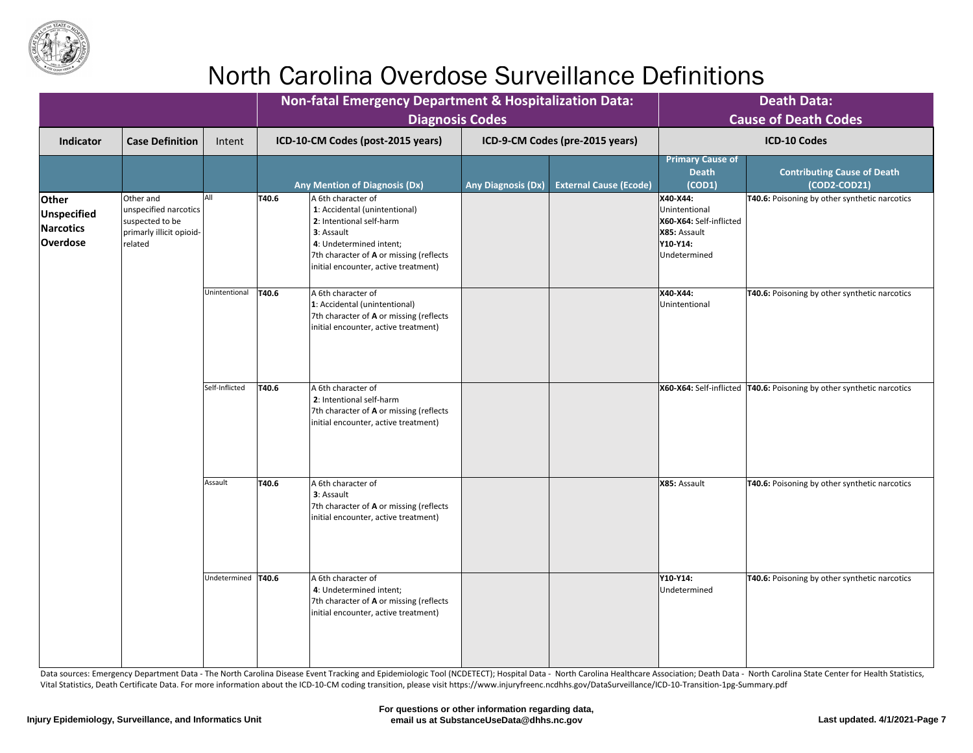

|                                                             |                                                                                                       |                     |       | <b>Non-fatal Emergency Department &amp; Hospitalization Data:</b><br><b>Diagnosis Codes</b>                                                                                                                 |                           |                                 | <b>Death Data:</b><br><b>Cause of Death Codes</b>                                                |                                                                         |  |
|-------------------------------------------------------------|-------------------------------------------------------------------------------------------------------|---------------------|-------|-------------------------------------------------------------------------------------------------------------------------------------------------------------------------------------------------------------|---------------------------|---------------------------------|--------------------------------------------------------------------------------------------------|-------------------------------------------------------------------------|--|
| <b>Indicator</b>                                            | <b>Case Definition</b>                                                                                | Intent              |       | ICD-10-CM Codes (post-2015 years)                                                                                                                                                                           |                           | ICD-9-CM Codes (pre-2015 years) |                                                                                                  | <b>ICD-10 Codes</b>                                                     |  |
|                                                             |                                                                                                       |                     |       | <b>Any Mention of Diagnosis (Dx)</b>                                                                                                                                                                        | <b>Any Diagnosis (Dx)</b> | <b>External Cause (Ecode)</b>   | <b>Primary Cause of</b><br><b>Death</b><br>(COD1)                                                | <b>Contributing Cause of Death</b><br>(COD2-COD21)                      |  |
| <b>Other</b><br>Unspecified<br>Narcotics<br><b>Overdose</b> | <b>Other</b> and<br>unspecified narcotics  <br>suspected to be<br>primarly illicit opioid-<br>related |                     | T40.6 | A 6th character of<br>1: Accidental (unintentional)<br>2: Intentional self-harm<br>3: Assault<br>4: Undetermined intent;<br>7th character of A or missing (reflects<br>initial encounter, active treatment) |                           |                                 | X40-X44:<br>Unintentional<br>X60-X64: Self-inflicted<br>X85: Assault<br>Y10-Y14:<br>Undetermined | <b>T40.6:</b> Poisoning by other synthetic narcotics                    |  |
|                                                             |                                                                                                       | Unintentional       | T40.6 | A 6th character of<br>1: Accidental (unintentional)<br>7th character of A or missing (reflects<br>initial encounter, active treatment)                                                                      |                           |                                 | X40-X44:<br>Unintentional                                                                        | <b>T40.6: Poisoning by other synthetic narcotics</b>                    |  |
|                                                             |                                                                                                       | Self-Inflicted      | T40.6 | A 6th character of<br>2: Intentional self-harm<br>7th character of A or missing (reflects<br>initial encounter, active treatment)                                                                           |                           |                                 |                                                                                                  | X60-X64: Self-inflicted   T40.6: Poisoning by other synthetic narcotics |  |
|                                                             |                                                                                                       | Assault             | T40.6 | A 6th character of<br>3: Assault<br>7th character of A or missing (reflects<br>initial encounter, active treatment)                                                                                         |                           |                                 | X85: Assault                                                                                     | <b>T40.6:</b> Poisoning by other synthetic narcotics                    |  |
|                                                             |                                                                                                       | Undetermined  T40.6 |       | A 6th character of<br>4: Undetermined intent;<br>7th character of A or missing (reflects<br>initial encounter, active treatment)                                                                            |                           |                                 | Y10-Y14:<br>Undetermined                                                                         | <b>T40.6:</b> Poisoning by other synthetic narcotics                    |  |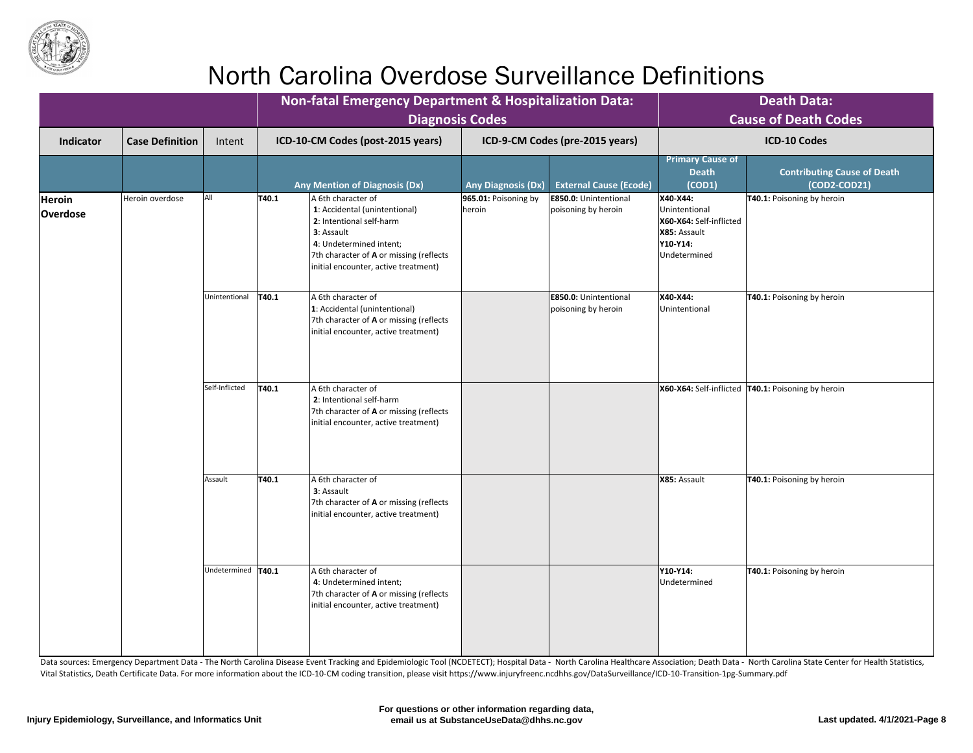

|                           |                        |                      |                | <b>Non-fatal Emergency Department &amp; Hospitalization Data:</b><br><b>Diagnosis Codes</b>                                                                                                                 |                                                                                                                                   |                                                     |                                                                                                  | <b>Death Data:</b><br><b>Cause of Death Codes</b>    |
|---------------------------|------------------------|----------------------|----------------|-------------------------------------------------------------------------------------------------------------------------------------------------------------------------------------------------------------|-----------------------------------------------------------------------------------------------------------------------------------|-----------------------------------------------------|--------------------------------------------------------------------------------------------------|------------------------------------------------------|
| <b>Indicator</b>          | <b>Case Definition</b> | Intent               |                | ICD-10-CM Codes (post-2015 years)                                                                                                                                                                           |                                                                                                                                   | ICD-9-CM Codes (pre-2015 years)                     |                                                                                                  | <b>ICD-10 Codes</b>                                  |
|                           |                        |                      |                | <b>Any Mention of Diagnosis (Dx)</b>                                                                                                                                                                        | <b>Any Diagnosis (Dx)</b>                                                                                                         | <b>External Cause (Ecode)</b>                       | <b>Primary Cause of</b><br><b>Death</b><br>(COD1)                                                | <b>Contributing Cause of Death</b><br>$(COD2-COD21)$ |
| Heroin<br><b>Overdose</b> | Heroin overdose        | All                  | T40.1          | A 6th character of<br>1: Accidental (unintentional)<br>2: Intentional self-harm<br>3: Assault<br>4: Undetermined intent;<br>7th character of A or missing (reflects<br>initial encounter, active treatment) | $ 965.01:$ Poisoning by<br>heroin                                                                                                 | <b>E850.0: Unintentional</b><br>poisoning by heroin | X40-X44:<br>Unintentional<br>X60-X64: Self-inflicted<br>X85: Assault<br>Y10-Y14:<br>Undetermined | T40.1: Poisoning by heroin                           |
|                           |                        | Unintentional        | T40.1          | A 6th character of<br>1: Accidental (unintentional)<br>7th character of A or missing (reflects<br>initial encounter, active treatment)                                                                      |                                                                                                                                   | <b>E850.0: Unintentional</b><br>poisoning by heroin | X40-X44:<br>Unintentional                                                                        | T40.1: Poisoning by heroin                           |
|                           |                        |                      | Self-Inflicted | $\vert$ T40.1                                                                                                                                                                                               | A 6th character of<br>2: Intentional self-harm<br>7th character of A or missing (reflects<br>initial encounter, active treatment) |                                                     |                                                                                                  |                                                      |
|                           |                        | Assault              | T40.1          | A 6th character of<br>3: Assault<br>7th character of A or missing (reflects<br>initial encounter, active treatment)                                                                                         |                                                                                                                                   |                                                     | X85: Assault                                                                                     | T40.1: Poisoning by heroin                           |
|                           |                        | Undetermined   T40.1 |                | A 6th character of<br>4: Undetermined intent;<br>7th character of A or missing (reflects<br>initial encounter, active treatment)                                                                            |                                                                                                                                   |                                                     | Y10-Y14:<br>Undetermined                                                                         | <b>T40.1: Poisoning by heroin</b>                    |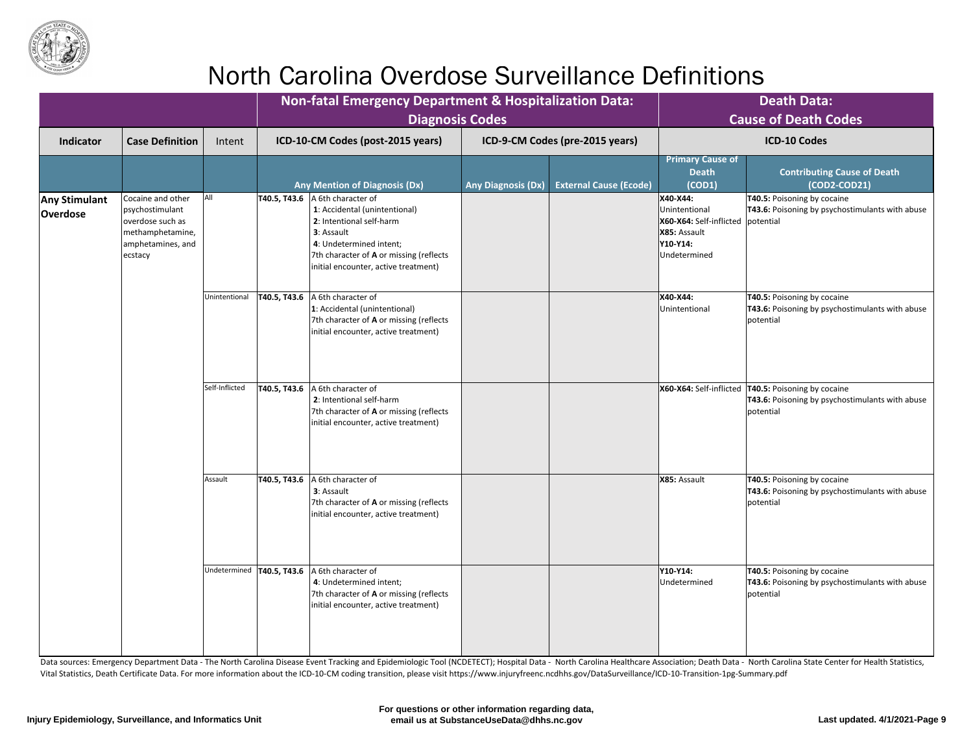

|                                         |                                                                                                              |                |                                                                                                                                                                                                                             | <b>Non-fatal Emergency Department &amp; Hospitalization Data:</b><br><b>Diagnosis Codes</b> |                                                                                                                     | <b>Death Data:</b><br><b>Cause of Death Codes</b>                                                                            |
|-----------------------------------------|--------------------------------------------------------------------------------------------------------------|----------------|-----------------------------------------------------------------------------------------------------------------------------------------------------------------------------------------------------------------------------|---------------------------------------------------------------------------------------------|---------------------------------------------------------------------------------------------------------------------|------------------------------------------------------------------------------------------------------------------------------|
| <b>Indicator</b>                        | <b>Case Definition</b>                                                                                       | Intent         | ICD-10-CM Codes (post-2015 years)                                                                                                                                                                                           | ICD-9-CM Codes (pre-2015 years)                                                             |                                                                                                                     | <b>ICD-10 Codes</b>                                                                                                          |
|                                         |                                                                                                              |                | <b>Any Mention of Diagnosis (Dx)</b>                                                                                                                                                                                        | <b>External Cause (Ecode)</b><br><b>Any Diagnosis (Dx)</b>                                  | <b>Primary Cause of</b><br><b>Death</b><br>(COD1)                                                                   | <b>Contributing Cause of Death</b><br>$(COD2-COD21)$                                                                         |
| <b>Any Stimulant</b><br><b>Overdose</b> | Cocaine and other<br>psychostimulant<br>overdose such as<br>methamphetamine,<br>amphetamines, and<br>ecstacy | All            | T40.5, T43.6<br>A 6th character of<br>1: Accidental (unintentional)<br>2: Intentional self-harm<br>3: Assault<br>4: Undetermined intent;<br>7th character of A or missing (reflects<br>initial encounter, active treatment) |                                                                                             | X40-X44:<br>Unintentional<br>X60-X64: Self-inflicted   potential<br>X85: Assault<br><b>Y10-Y14:</b><br>Undetermined | <b>T40.5: Poisoning by cocaine</b><br><b>T43.6:</b> Poisoning by psychostimulants with abuse                                 |
|                                         |                                                                                                              | Unintentional  | T40.5, T43.6<br>A 6th character of<br>1: Accidental (unintentional)<br>7th character of A or missing (reflects<br>initial encounter, active treatment)                                                                      |                                                                                             | X40-X44:<br>Unintentional                                                                                           | <b>T40.5: Poisoning by cocaine</b><br><b>T43.6:</b> Poisoning by psychostimulants with abuse<br>potential                    |
|                                         |                                                                                                              | Self-Inflicted | T40.5, T43.6<br>A 6th character of<br>2: Intentional self-harm<br>7th character of A or missing (reflects<br>initial encounter, active treatment)                                                                           |                                                                                             |                                                                                                                     | X60-X64: Self-inflicted   T40.5: Poisoning by cocaine<br><b>T43.6:</b> Poisoning by psychostimulants with abuse<br>potential |
|                                         |                                                                                                              | Assault        | T40.5, T43.6<br>A 6th character of<br><b>3</b> : Assault<br>7th character of A or missing (reflects<br>initial encounter, active treatment)                                                                                 |                                                                                             | X85: Assault                                                                                                        | <b>T40.5: Poisoning by cocaine</b><br><b>T43.6:</b> Poisoning by psychostimulants with abuse<br>potential                    |
|                                         |                                                                                                              |                | Undetermined   T40.5, T43.6<br>A 6th character of<br>4: Undetermined intent;<br>7th character of A or missing (reflects<br>initial encounter, active treatment)                                                             |                                                                                             | Y10-Y14:<br>Undetermined                                                                                            | <b>T40.5: Poisoning by cocaine</b><br><b>T43.6:</b> Poisoning by psychostimulants with abuse<br>potential                    |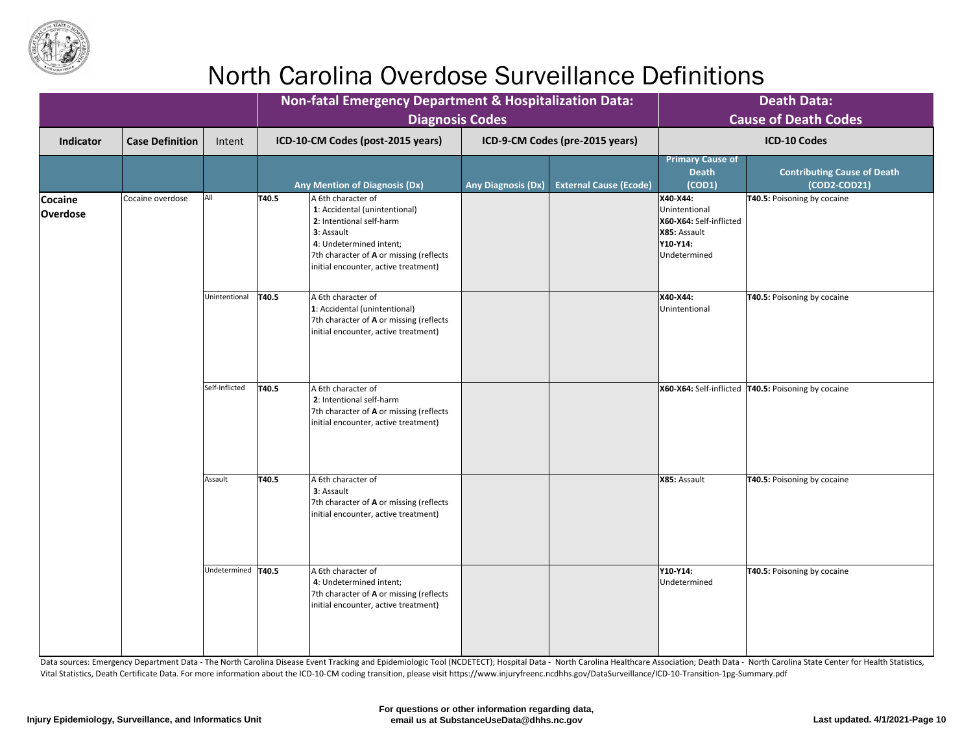

|                                   |                        |                      |              | <b>Non-fatal Emergency Department &amp; Hospitalization Data:</b><br><b>Diagnosis Codes</b>                                                                                                                 |                           |                                 |                                                                                                  | <b>Death Data:</b><br><b>Cause of Death Codes</b>                                                                                 |  |  |
|-----------------------------------|------------------------|----------------------|--------------|-------------------------------------------------------------------------------------------------------------------------------------------------------------------------------------------------------------|---------------------------|---------------------------------|--------------------------------------------------------------------------------------------------|-----------------------------------------------------------------------------------------------------------------------------------|--|--|
| <b>Indicator</b>                  | <b>Case Definition</b> | Intent               |              | ICD-10-CM Codes (post-2015 years)                                                                                                                                                                           |                           | ICD-9-CM Codes (pre-2015 years) |                                                                                                  | <b>ICD-10 Codes</b>                                                                                                               |  |  |
|                                   |                        |                      |              | <b>Any Mention of Diagnosis (Dx)</b>                                                                                                                                                                        | <b>Any Diagnosis (Dx)</b> | <b>External Cause (Ecode)</b>   | <b>Primary Cause of</b><br><b>Death</b><br>(COD1)                                                | <b>Contributing Cause of Death</b><br>$(COD2-COD21)$                                                                              |  |  |
| <b>Cocaine</b><br><b>Overdose</b> | Cocaine overdose       | All                  | T40.5        | A 6th character of<br>1: Accidental (unintentional)<br>2: Intentional self-harm<br>3: Assault<br>4: Undetermined intent;<br>7th character of A or missing (reflects<br>initial encounter, active treatment) |                           |                                 | X40-X44:<br>Unintentional<br>X60-X64: Self-inflicted<br>X85: Assault<br>Y10-Y14:<br>Undetermined | T40.5: Poisoning by cocaine                                                                                                       |  |  |
|                                   |                        | Unintentional        | <b>T40.5</b> | A 6th character of<br>1: Accidental (unintentional)<br>7th character of A or missing (reflects<br>initial encounter, active treatment)                                                                      |                           |                                 | X40-X44:<br>Unintentional                                                                        | <b>T40.5: Poisoning by cocaine</b>                                                                                                |  |  |
|                                   |                        |                      |              |                                                                                                                                                                                                             |                           | Self-Inflicted                  | T40.5                                                                                            | A 6th character of<br>2: Intentional self-harm<br>7th character of A or missing (reflects<br>initial encounter, active treatment) |  |  |
|                                   |                        | Assault              | T40.5        | A 6th character of<br>3: Assault<br>7th character of A or missing (reflects<br>initial encounter, active treatment)                                                                                         |                           |                                 | X85: Assault                                                                                     | T40.5: Poisoning by cocaine                                                                                                       |  |  |
|                                   |                        | Undetermined   T40.5 |              | A 6th character of<br>4: Undetermined intent;<br>7th character of A or missing (reflects<br>initial encounter, active treatment)                                                                            |                           |                                 | Y10-Y14:<br>Undetermined                                                                         | <b>T40.5: Poisoning by cocaine</b>                                                                                                |  |  |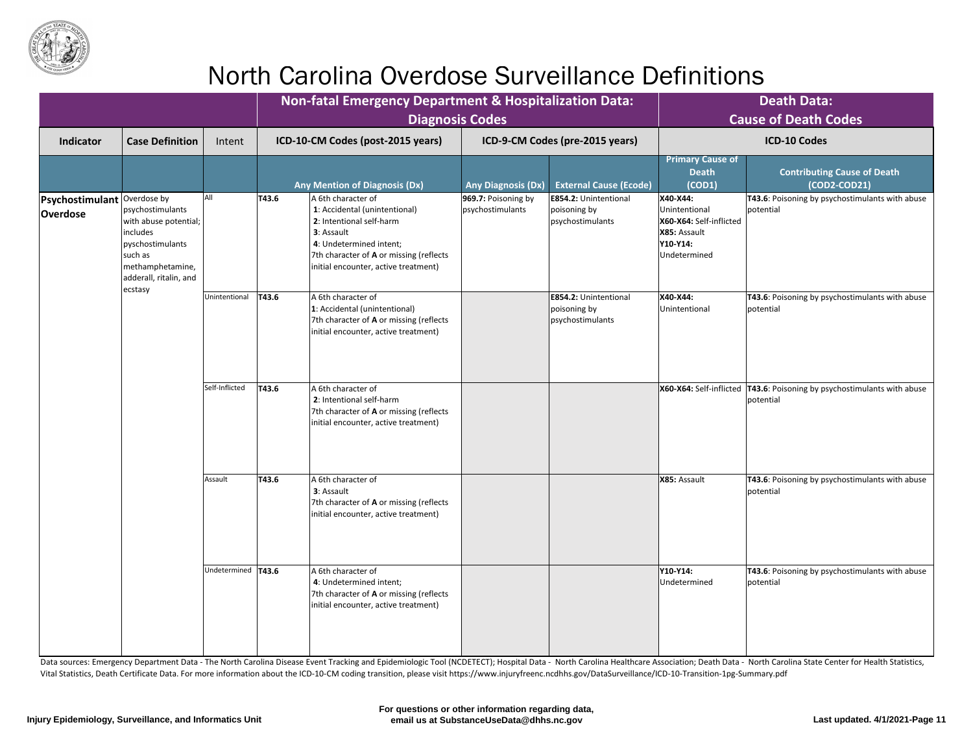

|                                    |                                                                                                                                                                |                      |               | <b>Non-fatal Emergency Department &amp; Hospitalization Data:</b><br><b>Diagnosis Codes</b>                                                                                                                 |                                         |                                                                  |                                                                                                  | <b>Death Data:</b><br><b>Cause of Death Codes</b>                                                  |
|------------------------------------|----------------------------------------------------------------------------------------------------------------------------------------------------------------|----------------------|---------------|-------------------------------------------------------------------------------------------------------------------------------------------------------------------------------------------------------------|-----------------------------------------|------------------------------------------------------------------|--------------------------------------------------------------------------------------------------|----------------------------------------------------------------------------------------------------|
| <b>Indicator</b>                   | <b>Case Definition</b>                                                                                                                                         | Intent               |               | ICD-10-CM Codes (post-2015 years)                                                                                                                                                                           |                                         | ICD-9-CM Codes (pre-2015 years)                                  |                                                                                                  | <b>ICD-10 Codes</b>                                                                                |
|                                    |                                                                                                                                                                |                      |               | <b>Any Mention of Diagnosis (Dx)</b>                                                                                                                                                                        | <b>Any Diagnosis (Dx)</b>               | <b>External Cause (Ecode)</b>                                    | <b>Primary Cause of</b><br><b>Death</b><br>(COD1)                                                | <b>Contributing Cause of Death</b><br>$(COD2-COD21)$                                               |
| Psychostimulant<br><b>Overdose</b> | Overdose by<br>psychostimulants<br>with abuse potential;  <br>includes<br>pyschostimulants<br>such as<br>methamphetamine,<br>adderall, ritalin, and<br>ecstasy | <b>All</b>           | T43.6         | A 6th character of<br>1: Accidental (unintentional)<br>2: Intentional self-harm<br>3: Assault<br>4: Undetermined intent;<br>7th character of A or missing (reflects<br>initial encounter, active treatment) | 969.7: Poisoning by<br>psychostimulants | <b>E854.2: Unintentional</b><br>poisoning by<br>psychostimulants | X40-X44:<br>Unintentional<br>X60-X64: Self-inflicted<br>X85: Assault<br>Y10-Y14:<br>Undetermined | <b>T43.6</b> : Poisoning by psychostimulants with abuse<br>potential                               |
|                                    |                                                                                                                                                                | Unintentional        | T43.6         | A 6th character of<br>1: Accidental (unintentional)<br>7th character of A or missing (reflects<br>initial encounter, active treatment)                                                                      |                                         | <b>E854.2: Unintentional</b><br>poisoning by<br>psychostimulants | X40-X44:<br>Unintentional                                                                        | T43.6: Poisoning by psychostimulants with abuse<br><i><u><b>Ipotential</b></u></i>                 |
|                                    |                                                                                                                                                                | Self-Inflicted       | $\vert$ T43.6 | A 6th character of<br>2: Intentional self-harm<br>7th character of A or missing (reflects<br>initial encounter, active treatment)                                                                           |                                         |                                                                  |                                                                                                  | $X60-X64$ : Self-inflicted $\boxed{143.6}$ : Poisoning by psychostimulants with abuse<br>potential |
|                                    |                                                                                                                                                                | Assault              | T43.6         | A 6th character of<br>3: Assault<br>7th character of A or missing (reflects<br>initial encounter, active treatment)                                                                                         |                                         |                                                                  | X85: Assault                                                                                     | <b>T43.6</b> : Poisoning by psychostimulants with abuse<br>potential                               |
|                                    |                                                                                                                                                                | Undetermined   T43.6 |               | A 6th character of<br>4: Undetermined intent;<br>7th character of <b>A</b> or missing (reflects<br>initial encounter, active treatment)                                                                     |                                         |                                                                  | Y10-Y14:<br>Undetermined                                                                         | <b>T43.6</b> : Poisoning by psychostimulants with abuse<br>potential                               |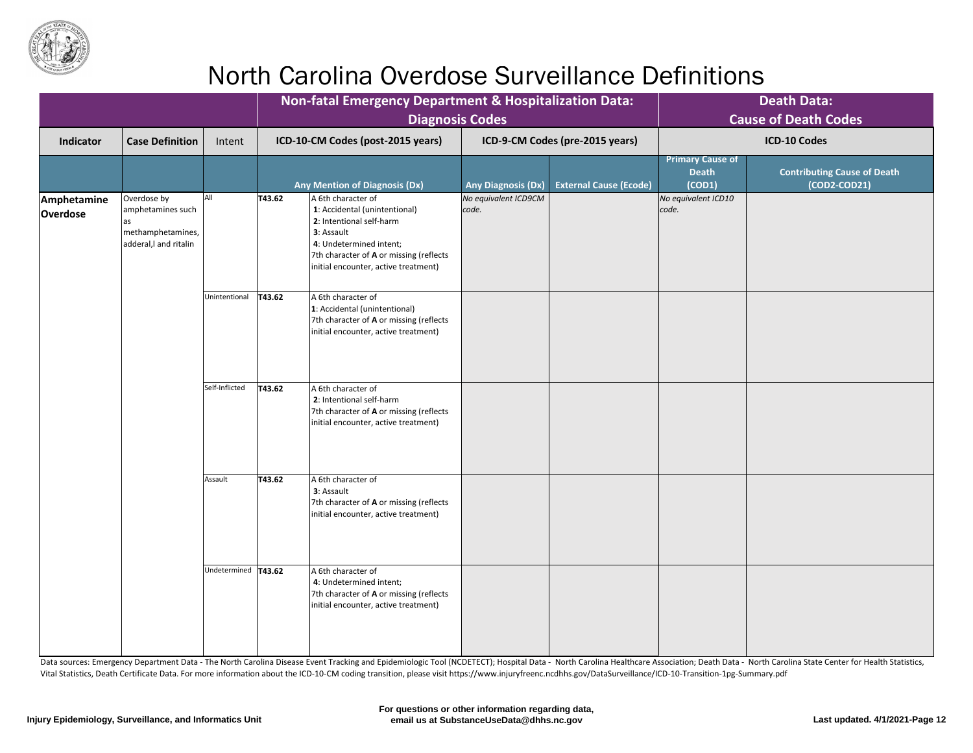

|                         |                                                                               |                       |                      | <b>Non-fatal Emergency Department &amp; Hospitalization Data:</b><br><b>Diagnosis Codes</b>                                                                                                                 |                               |                                 |                                                   | <b>Death Data:</b><br><b>Cause of Death Codes</b>  |
|-------------------------|-------------------------------------------------------------------------------|-----------------------|----------------------|-------------------------------------------------------------------------------------------------------------------------------------------------------------------------------------------------------------|-------------------------------|---------------------------------|---------------------------------------------------|----------------------------------------------------|
| Indicator               | <b>Case Definition</b>                                                        | Intent                |                      | ICD-10-CM Codes (post-2015 years)                                                                                                                                                                           |                               | ICD-9-CM Codes (pre-2015 years) |                                                   | <b>ICD-10 Codes</b>                                |
|                         |                                                                               |                       |                      | <b>Any Mention of Diagnosis (Dx)</b>                                                                                                                                                                        | <b>Any Diagnosis (Dx)</b>     | <b>External Cause (Ecode)</b>   | <b>Primary Cause of</b><br><b>Death</b><br>(COD1) | <b>Contributing Cause of Death</b><br>(COD2-COD21) |
| Amphetamine<br>Overdose | Overdose by<br>amphetamines such<br>methamphetamines,<br>adderal, and ritalin | <b>AII</b>            | T43.62               | A 6th character of<br>1: Accidental (unintentional)<br>2: Intentional self-harm<br>3: Assault<br>4: Undetermined intent;<br>7th character of A or missing (reflects<br>initial encounter, active treatment) | No equivalent ICD9CM<br>code. |                                 | No equivalent ICD10<br>code.                      |                                                    |
|                         |                                                                               | Unintentional         | $\vert 743.62 \vert$ | A 6th character of<br>1: Accidental (unintentional)<br>7th character of A or missing (reflects<br>initial encounter, active treatment)                                                                      |                               |                                 |                                                   |                                                    |
|                         |                                                                               | Self-Inflicted        | T43.62               | A 6th character of<br>2: Intentional self-harm<br>7th character of A or missing (reflects<br>initial encounter, active treatment)                                                                           |                               |                                 |                                                   |                                                    |
|                         |                                                                               | Assault               | T43.62               | A 6th character of<br>3: Assault<br>7th character of A or missing (reflects<br>initial encounter, active treatment)                                                                                         |                               |                                 |                                                   |                                                    |
|                         |                                                                               | Undetermined   T43.62 |                      | A 6th character of<br>4: Undetermined intent;<br>7th character of <b>A</b> or missing (reflects<br>initial encounter, active treatment)                                                                     |                               |                                 |                                                   |                                                    |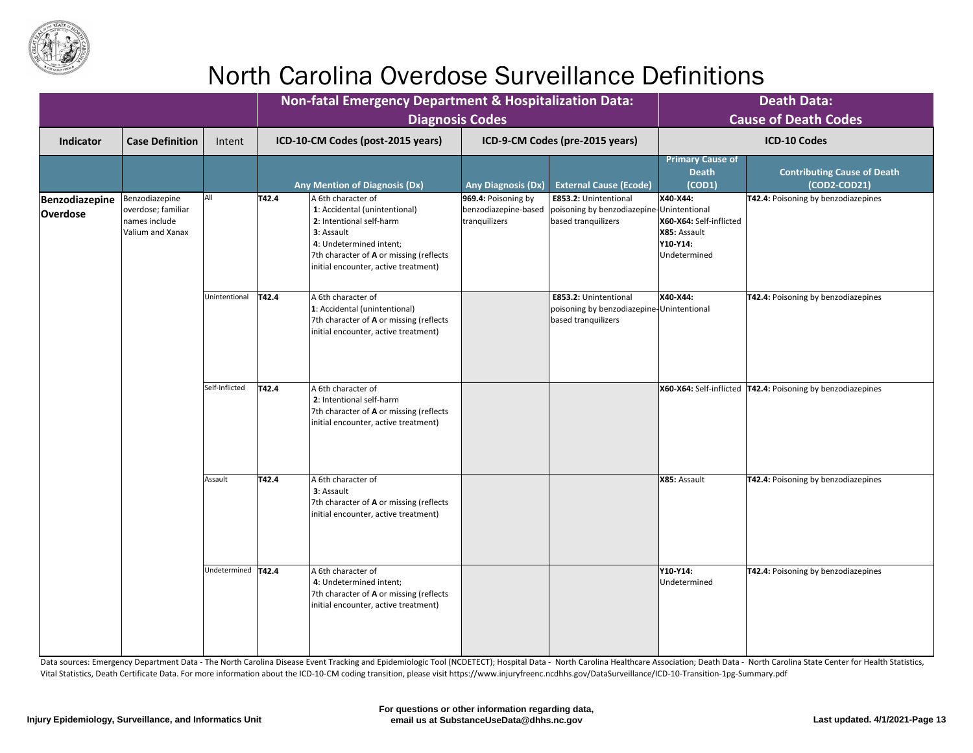

|                                            |                                                                           |                      |                                   | Non-fatal Emergency Department & Hospitalization Data:<br><b>Diagnosis Codes</b>                                                                                                                                    | <b>Death Data:</b><br><b>Cause of Death Codes</b>            |                                                                                                  |                                                                                 |                                                                           |
|--------------------------------------------|---------------------------------------------------------------------------|----------------------|-----------------------------------|---------------------------------------------------------------------------------------------------------------------------------------------------------------------------------------------------------------------|--------------------------------------------------------------|--------------------------------------------------------------------------------------------------|---------------------------------------------------------------------------------|---------------------------------------------------------------------------|
| <b>Indicator</b><br><b>Case Definition</b> |                                                                           | Intent               | ICD-10-CM Codes (post-2015 years) |                                                                                                                                                                                                                     | ICD-9-CM Codes (pre-2015 years)                              |                                                                                                  | <b>ICD-10 Codes</b>                                                             |                                                                           |
|                                            |                                                                           |                      |                                   | <b>Any Mention of Diagnosis (Dx)</b>                                                                                                                                                                                | <b>Any Diagnosis (Dx)</b>                                    | <b>External Cause (Ecode)</b>                                                                    | <b>Primary Cause of</b><br><b>Death</b><br>(COD1)                               | <b>Contributing Cause of Death</b><br>$(COD2-COD21)$                      |
| Benzodiazepine<br><b>Overdose</b>          | Benzodiazepine<br>overdose; familiar<br>names include<br>Valium and Xanax | All                  | T42.4                             | A 6th character of<br>1: Accidental (unintentional)<br>2: Intentional self-harm<br><b>3</b> : Assault<br>4: Undetermined intent;<br>7th character of A or missing (reflects<br>initial encounter, active treatment) | 969.4: Poisoning by<br>benzodiazepine-based<br>tranquilizers | <b>E853.2: Unintentional</b><br>poisoning by benzodiazepine-Unintentional<br>based tranquilizers | X40-X44:<br>X60-X64: Self-inflicted<br>X85: Assault<br>Y10-Y14:<br>Undetermined | T42.4: Poisoning by benzodiazepines                                       |
|                                            |                                                                           | Unintentional        | T42.4                             | A 6th character of<br>1: Accidental (unintentional)<br>7th character of A or missing (reflects<br>initial encounter, active treatment)                                                                              |                                                              | E853.2: Unintentional<br>poisoning by benzodiazepine-Unintentional<br>based tranquilizers        | X40-X44:                                                                        | <b>T42.4: Poisoning by benzodiazepines</b>                                |
|                                            |                                                                           | Self-Inflicted       | T42.4                             | A 6th character of<br>2: Intentional self-harm<br>7th character of A or missing (reflects<br>initial encounter, active treatment)                                                                                   |                                                              |                                                                                                  |                                                                                 | <b>X60-X64:</b> Self-inflicted <b>T42.4:</b> Poisoning by benzodiazepines |
|                                            |                                                                           | Assault              | T42.4                             | A 6th character of<br>3: Assault<br>7th character of A or missing (reflects<br>initial encounter, active treatment)                                                                                                 |                                                              |                                                                                                  | X85: Assault                                                                    | T42.4: Poisoning by benzodiazepines                                       |
|                                            |                                                                           | Undetermined   T42.4 |                                   | A 6th character of<br>4: Undetermined intent;<br>7th character of A or missing (reflects<br>initial encounter, active treatment)                                                                                    |                                                              |                                                                                                  | Y10-Y14:<br>Undetermined                                                        | T42.4: Poisoning by benzodiazepines                                       |